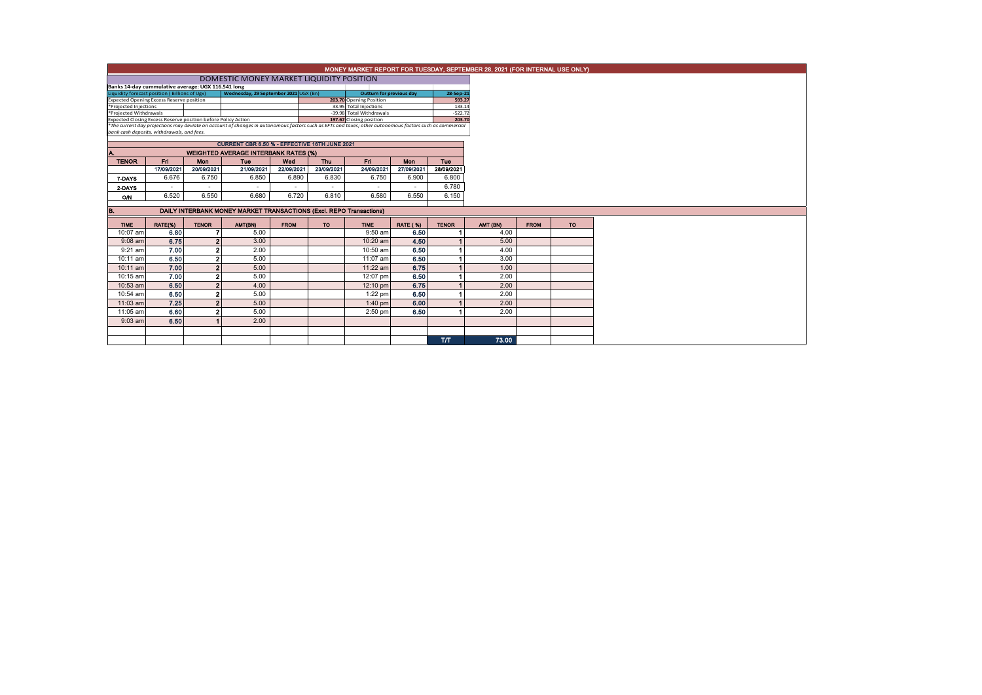|                                                                                                                                                          | MONEY MARKET REPORT FOR TUESDAY, SEPTEMBER 28, 2021 (FOR INTERNAL USE ONLY) |              |                                               |             |            |                        |                 |                     |          |             |     |
|----------------------------------------------------------------------------------------------------------------------------------------------------------|-----------------------------------------------------------------------------|--------------|-----------------------------------------------|-------------|------------|------------------------|-----------------|---------------------|----------|-------------|-----|
| DOMESTIC MONEY MARKET LIQUIDITY POSITION                                                                                                                 |                                                                             |              |                                               |             |            |                        |                 |                     |          |             |     |
| Banks 14-day cummulative average: UGX 116.541 long                                                                                                       |                                                                             |              |                                               |             |            |                        |                 |                     |          |             |     |
| Wednesday, 29 September 2021 UGX (Bn)<br>Liquidity forecast position (Billions of Ugx)<br><b>Outturn for previous day</b>                                |                                                                             |              |                                               |             |            |                        |                 | 28-Sep-21           |          |             |     |
| 203.70 Opening Position<br>Expected Opening Excess Reserve position<br>*Projected Injections                                                             |                                                                             |              |                                               |             |            |                        |                 | 593.27              |          |             |     |
|                                                                                                                                                          |                                                                             |              |                                               |             |            | 33.95 Total Injections |                 | 133.14<br>$-522.72$ |          |             |     |
| *Projected Withdrawals<br>-39.98 Total Withdrawals<br>Expected Closing Excess Reserve position before Policy Action<br>197.67 Closing position           |                                                                             |              |                                               |             |            |                        |                 | 203.70              |          |             |     |
| *The current day projections may deviate on account of changes in autonomous factors such as EFTs and taxes; other autonomous factors such as commercial |                                                                             |              |                                               |             |            |                        |                 |                     |          |             |     |
| bank cash deposits, withdrawals, and fees.                                                                                                               |                                                                             |              |                                               |             |            |                        |                 |                     |          |             |     |
|                                                                                                                                                          |                                                                             |              | CURRENT CBR 6.50 % - EFFECTIVE 16TH JUNE 2021 |             |            |                        |                 |                     |          |             |     |
| <b>WEIGHTED AVERAGE INTERBANK RATES (%)</b><br>Λ.                                                                                                        |                                                                             |              |                                               |             |            |                        |                 |                     |          |             |     |
| <b>TENOR</b>                                                                                                                                             | Fri                                                                         | Mon          | <b>Tuo</b>                                    | Wed         | Thu        | Fri.                   | <b>Mon</b>      | <b>Tue</b>          |          |             |     |
|                                                                                                                                                          | 17/09/2021                                                                  | 20/09/2021   | 21/09/2021                                    | 22/09/2021  | 23/09/2021 | 24/09/2021             | 27/09/2021      | 28/09/2021          |          |             |     |
| 7-DAYS                                                                                                                                                   | 6.676                                                                       | 6.750        | 6.850                                         | 6.890       | 6.830      | 6.750                  | 6.900           | 6,800               |          |             |     |
| 2 DAYS                                                                                                                                                   | $\overline{\phantom{a}}$                                                    |              |                                               | $\sim$      |            |                        |                 | 6.780               |          |             |     |
| ON                                                                                                                                                       | 6.520                                                                       | 6.550        | 6.680                                         | 6.720       | 6.810      | 6.580                  | 6.550           | 6.150               |          |             |     |
|                                                                                                                                                          |                                                                             |              |                                               |             |            |                        |                 |                     |          |             |     |
| DAILY INTERBANK MONEY MARKET TRANSACTIONS (Excl. REPO Transactions)<br>B.                                                                                |                                                                             |              |                                               |             |            |                        |                 |                     |          |             |     |
|                                                                                                                                                          |                                                                             |              |                                               |             |            |                        |                 |                     |          |             |     |
| <b>TIME</b>                                                                                                                                              | RATE(%)                                                                     | <b>TENOR</b> | AMT(BN)                                       | <b>FROM</b> | TO.        | <b>TIME</b>            | <b>RATE (%)</b> | <b>TENOR</b>        | AMT (BN) | <b>FROM</b> | TO: |
| 10:07 am                                                                                                                                                 | 6.80                                                                        |              | 5.00                                          |             |            | $9:50$ am              | 6.50            |                     | 4.00     |             |     |
| $9:08$ am                                                                                                                                                | 6.75                                                                        |              | 3.00                                          |             |            | 10:20 am               | 4.50            |                     | 5.00     |             |     |
| $9:21$ am                                                                                                                                                | 7.00                                                                        |              | 2.00                                          |             |            | 10:50 am               | 6.50            |                     | 4.00     |             |     |
| $10:11$ am                                                                                                                                               | 6.50                                                                        |              | 5.00                                          |             |            | 11:07 am               | 6.50            |                     | 3.00     |             |     |
| $10:11$ am                                                                                                                                               | 7.00                                                                        |              | 5.00                                          |             |            | 11:22 am               | 6.75            |                     | 1.00     |             |     |
| 10:15 am                                                                                                                                                 | 7.00                                                                        |              | 5.00                                          |             |            | 12:07 pm               | 6.50            |                     | 2.00     |             |     |
| 10:53 am                                                                                                                                                 | 6.50                                                                        |              | 4.00                                          |             |            | 12:10 pm               | 6.75            |                     | 2.00     |             |     |
| 10:54 am                                                                                                                                                 | 6.50                                                                        |              | 5.00                                          |             |            | $1:22$ pm              | 6.50            |                     | 2.00     |             |     |
| 11:03 am                                                                                                                                                 | 7.25                                                                        |              | 5.00                                          |             |            | $1:40$ pm              | 6.00            |                     | 2.00     |             |     |
| 11:05 am                                                                                                                                                 | 6.60                                                                        |              | 5.00                                          |             |            | $2:50$ pm              | 6.50            |                     | 2.00     |             |     |
| $9:03$ am                                                                                                                                                | 6.50                                                                        |              | 2.00                                          |             |            |                        |                 |                     |          |             |     |
|                                                                                                                                                          |                                                                             |              |                                               |             |            |                        |                 |                     |          |             |     |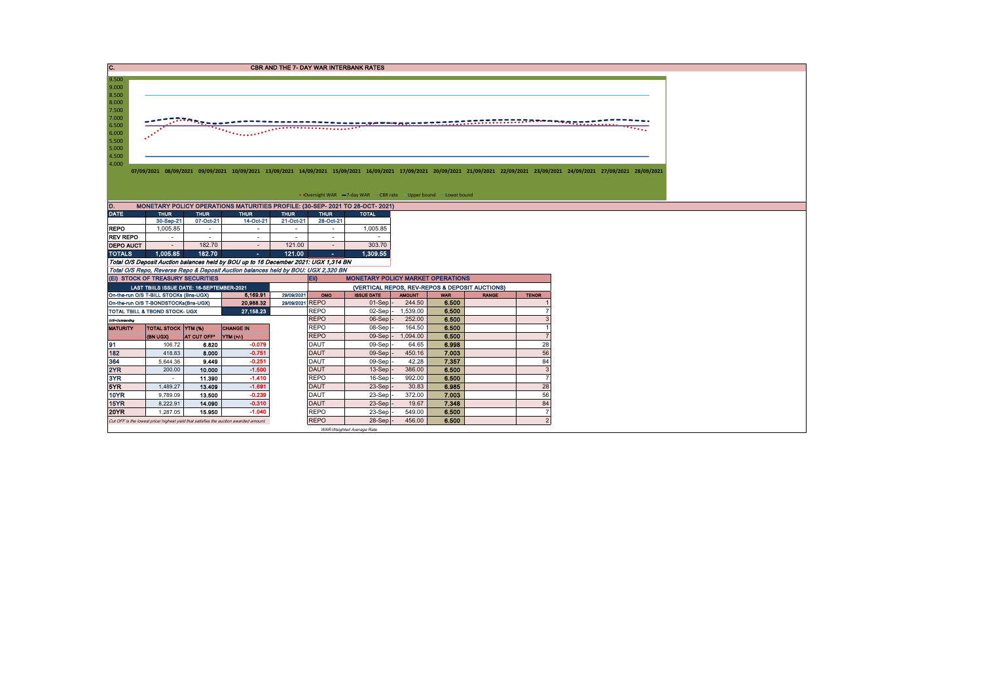| IC.              |                                           |                         |                                                                                                   |                               |                            | <b>CBR AND THE 7- DAY WAR INTERBANK RATES</b>                     |                         |                     |                                                |                          |                                                                                                                                                                                 |
|------------------|-------------------------------------------|-------------------------|---------------------------------------------------------------------------------------------------|-------------------------------|----------------------------|-------------------------------------------------------------------|-------------------------|---------------------|------------------------------------------------|--------------------------|---------------------------------------------------------------------------------------------------------------------------------------------------------------------------------|
|                  |                                           |                         |                                                                                                   |                               |                            |                                                                   |                         |                     |                                                |                          |                                                                                                                                                                                 |
| 9.500            |                                           |                         |                                                                                                   |                               |                            |                                                                   |                         |                     |                                                |                          |                                                                                                                                                                                 |
| 9.000            |                                           |                         |                                                                                                   |                               |                            |                                                                   |                         |                     |                                                |                          |                                                                                                                                                                                 |
| 8.500            |                                           |                         |                                                                                                   |                               |                            |                                                                   |                         |                     |                                                |                          |                                                                                                                                                                                 |
| 8.000            |                                           |                         |                                                                                                   |                               |                            |                                                                   |                         |                     |                                                |                          |                                                                                                                                                                                 |
| 7.500<br>7.000   |                                           |                         |                                                                                                   |                               |                            |                                                                   |                         |                     |                                                |                          |                                                                                                                                                                                 |
| 6.500            |                                           |                         |                                                                                                   |                               |                            |                                                                   |                         |                     |                                                |                          |                                                                                                                                                                                 |
| 6.000            |                                           |                         |                                                                                                   |                               |                            |                                                                   |                         |                     |                                                |                          |                                                                                                                                                                                 |
| 5.500            |                                           |                         |                                                                                                   |                               |                            |                                                                   |                         |                     |                                                |                          |                                                                                                                                                                                 |
| 5.000            |                                           |                         |                                                                                                   |                               |                            |                                                                   |                         |                     |                                                |                          |                                                                                                                                                                                 |
| 4.500            |                                           |                         |                                                                                                   |                               |                            |                                                                   |                         |                     |                                                |                          |                                                                                                                                                                                 |
| 4.000            |                                           |                         |                                                                                                   |                               |                            |                                                                   |                         |                     |                                                |                          |                                                                                                                                                                                 |
|                  |                                           |                         |                                                                                                   |                               |                            |                                                                   |                         |                     |                                                |                          | 07/09/2021 08/09/2021 09/09/2021 10/09/2021 13/09/2021 14/09/2021 15/09/2021 16/09/2021 17/09/2021 20/09/2021 21/09/2021 22/09/2021 23/09/2021 24/09/2021 27/09/2021 28/09/2021 |
|                  |                                           |                         |                                                                                                   |                               |                            |                                                                   |                         |                     |                                                |                          |                                                                                                                                                                                 |
|                  |                                           |                         |                                                                                                   |                               |                            |                                                                   |                         |                     |                                                |                          |                                                                                                                                                                                 |
|                  |                                           |                         |                                                                                                   |                               |                            | • Overnight WAR -7-day WAR - CBR rate - Upper bound - Lower bound |                         |                     |                                                |                          |                                                                                                                                                                                 |
| D.               |                                           |                         | MONETARY POLICY OPERATIONS MATURITIES PROFILE: (30-SEP- 2021 TO 28-OCT- 2021)                     |                               |                            |                                                                   |                         |                     |                                                |                          |                                                                                                                                                                                 |
| <b>DATE</b>      | <b>THUR</b>                               | <b>THUR</b>             | <b>THUR</b>                                                                                       | <b>THUR</b>                   | <b>THUR</b>                | <b>TOTAL</b>                                                      |                         |                     |                                                |                          |                                                                                                                                                                                 |
|                  | 30-Sep-21                                 | 07-Oct-21               | 14-Oct-21                                                                                         | 21-Oct-21                     | 28-Oct-21                  |                                                                   |                         |                     |                                                |                          |                                                                                                                                                                                 |
| <b>REPO</b>      | 1,005.85                                  | $\sim$                  | $\sim$                                                                                            | $\sim$                        | $\sim$                     | 1,005.85                                                          |                         |                     |                                                |                          |                                                                                                                                                                                 |
| <b>REV REPO</b>  | $\sim$                                    | $\sim$                  | $\sim$                                                                                            | $\sim$                        | $\sim$                     | $\sim$                                                            |                         |                     |                                                |                          |                                                                                                                                                                                 |
| <b>DEPO AUCT</b> | $\sim$                                    | 182.70                  | $\sim$                                                                                            | 121.00                        | $\sim$                     | 303.70                                                            |                         |                     |                                                |                          |                                                                                                                                                                                 |
| <b>TOTALS</b>    | 1.005.85                                  | 182.70                  | $\sim 10$                                                                                         | 121.00                        | $\sim$                     | 1,309.55                                                          |                         |                     |                                                |                          |                                                                                                                                                                                 |
|                  |                                           |                         | Total O/S Deposit Auction balances held by BOU up to 16 December 2021: UGX 1,314 BN               |                               |                            |                                                                   |                         |                     |                                                |                          |                                                                                                                                                                                 |
|                  |                                           |                         | Total O/S Repo, Reverse Repo & Deposit Auction balances held by BOU: UGX 2,320 BN                 |                               |                            |                                                                   |                         |                     |                                                |                          |                                                                                                                                                                                 |
|                  | (EI) STOCK OF TREASURY SECURITIES         |                         |                                                                                                   |                               | EII)                       | <b>MONETARY POLICY MARKET OPERATIONS</b>                          |                         |                     |                                                |                          |                                                                                                                                                                                 |
|                  | LAST TBIILS ISSUE DATE: 16-SEPTEMBER-2021 |                         |                                                                                                   |                               |                            |                                                                   |                         |                     | (VERTICAL REPOS, REV-REPOS & DEPOSIT AUCTIONS) |                          |                                                                                                                                                                                 |
|                  | On-the-run O/S T-BILL STOCKs (Bns-UGX)    |                         | 6,169.91<br>20,988.32                                                                             | 29/09/2021<br>29/09/2021 REPO | OMO                        | <b>ISSUE DATE</b><br>$01-Sep$ .                                   | <b>AMOUNT</b><br>244.50 | <b>WAR</b><br>6.500 | <b>RANGE</b>                                   | <b>TENOR</b>             |                                                                                                                                                                                 |
|                  | On-the-run O/S T-BONDSTOCKs(Bns-UGX)      |                         |                                                                                                   |                               | <b>REPO</b>                |                                                                   |                         |                     |                                                |                          |                                                                                                                                                                                 |
|                  | TOTAL TBILL & TBOND STOCK- UGX            |                         | 27,158.23                                                                                         |                               | <b>REPO</b>                | $02-Sep$ -<br>06-Sep                                              | 1,539.00<br>252.00      | 6.500<br>6.500      |                                                |                          |                                                                                                                                                                                 |
| O/S-Outstanding  |                                           |                         | <b>CHANGE IN</b>                                                                                  |                               | <b>REPO</b>                | 08-Sep                                                            | 164.50                  | 6.500               |                                                |                          |                                                                                                                                                                                 |
| <b>MATURITY</b>  | <b>TOTAL STOCK YTM (%)</b><br>(BN UGX)    | AT CUT OFF <sup>®</sup> | YTM (+/-)                                                                                         |                               | <b>REPO</b>                | 09-Sep                                                            | 1,094.00                | 6.500               |                                                |                          |                                                                                                                                                                                 |
| 91               | 106.72                                    | 6.820                   | $-0.079$                                                                                          |                               | <b>DAUT</b>                | 09-Sep                                                            | 64.65                   | 6.998               |                                                | 28                       |                                                                                                                                                                                 |
| 182              | 418.83                                    | 8.000                   | $-0.751$                                                                                          |                               | <b>DAUT</b>                | 09-Sep                                                            | 450.16                  | 7.003               |                                                | 56                       |                                                                                                                                                                                 |
| 364              | 5,644.36                                  | 9.449                   | $-0.251$                                                                                          |                               | <b>DAUT</b>                | 09-Sep                                                            | 42.28                   | 7.357               |                                                | 84                       |                                                                                                                                                                                 |
| 2YR              | 200.00                                    | 10.000                  | $-1.500$                                                                                          |                               | <b>DAUT</b>                | 13-Sep                                                            | 386.00                  | 6.500               |                                                | 3                        |                                                                                                                                                                                 |
| 3YR              | $\sim$                                    | 11.390                  | $-1.410$                                                                                          |                               | <b>REPO</b>                | 16-Sep                                                            | 992.00                  | 6.500               |                                                |                          |                                                                                                                                                                                 |
| 5YR              | 1,489.27                                  | 13.409                  | $-1.691$                                                                                          |                               | <b>DAUT</b>                | 23-Sep                                                            | 30.83                   | 6.985               |                                                | 28                       |                                                                                                                                                                                 |
| <b>10YR</b>      | 9,789.09                                  | 13.500                  | $-0.239$                                                                                          |                               | <b>DAUT</b>                | 23-Sep                                                            | 372.00                  | 7.003               |                                                | 56                       |                                                                                                                                                                                 |
| <b>15YR</b>      | 8.222.91                                  | 14.090                  | $-0.310$                                                                                          |                               | <b>DAUT</b>                | 23-Sep                                                            | 19.67                   | 7.348               |                                                | 84                       |                                                                                                                                                                                 |
|                  |                                           |                         |                                                                                                   |                               |                            |                                                                   |                         |                     |                                                |                          |                                                                                                                                                                                 |
|                  |                                           |                         |                                                                                                   |                               |                            |                                                                   |                         |                     |                                                |                          |                                                                                                                                                                                 |
| <b>20YR</b>      | 1.287.05                                  | 15.950                  | $-1.040$<br>Cut OFF is the lowest price/ highest yield that satisfies the auction awarded amount. |                               | <b>REPO</b><br><b>REPO</b> | 23-Sep<br>$28-Sep$ .                                              | 549.00<br>456.00        | 6.500<br>6.500      |                                                | $\overline{\phantom{0}}$ |                                                                                                                                                                                 |